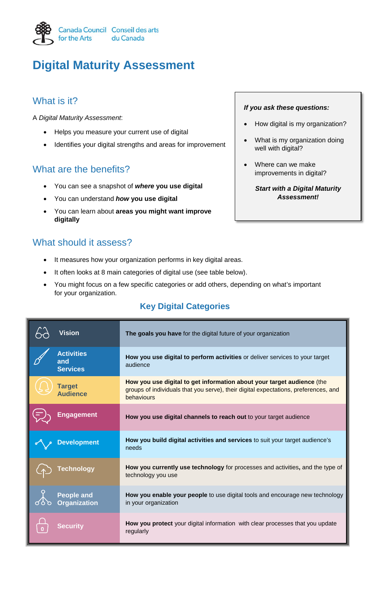

# **Digital Maturity Assessment**

## What is it?

A *Digital Maturity Assessment*:

- Helps you measure your current use of digital
- Identifies your digital strengths and areas for improvement

## What are the benefits?

- You can see a snapshot of *where* **you use digital**
- You can understand *how* **you use digital**
- You can learn about **areas you might want improve digitally**

## What should it assess?

- It measures how your organization performs in key digital areas.
- It often looks at 8 main categories of digital use (see table below).
- You might focus on a few specific categories or add others, depending on what's important for your organization.

### **Key Digital Categories**

| Vision                                      | The goals you have for the digital future of your organization                                                                                                              |
|---------------------------------------------|-----------------------------------------------------------------------------------------------------------------------------------------------------------------------------|
| <b>Activities</b><br>and<br><b>Services</b> | How you use digital to perform activities or deliver services to your target<br>audience                                                                                    |
| <b>Target</b><br><b>Audience</b>            | How you use digital to get information about your target audience (the<br>groups of individuals that you serve), their digital expectations, preferences, and<br>behaviours |
| Engagement                                  | How you use digital channels to reach out to your target audience                                                                                                           |
| <b>Development</b>                          | How you build digital activities and services to suit your target audience's<br>needs                                                                                       |
| <b>Fechnology</b>                           | How you currently use technology for processes and activities, and the type of<br>technology you use                                                                        |
| <b>People and</b><br><b>Organization</b>    | How you enable your people to use digital tools and encourage new technology<br>in your organization                                                                        |
| Securitv                                    | How you protect your digital information with clear processes that you update<br>regularly                                                                                  |

#### *If you ask these questions:*

- How digital is my organization?
- What is my organization doing well with digital?
- Where can we make improvements in digital?

*Start with a Digital Maturity Assessment!*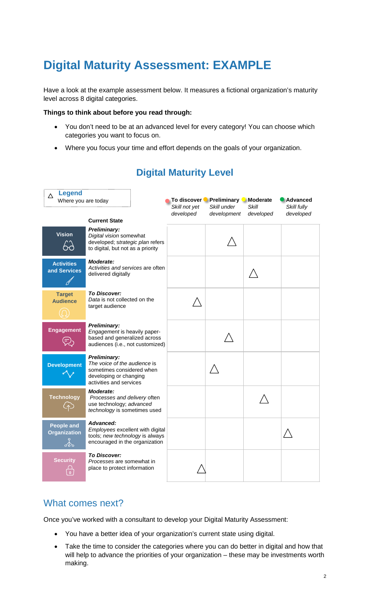## **Digital Maturity Assessment: EXAMPLE**

Have a look at the example assessment below. It measures a fictional organization's maturity level across 8 digital categories.

#### **Things to think about before you read through:**

- You don't need to be at an advanced level for every category! You can choose which categories you want to focus on.
- Where you focus your time and effort depends on the goals of your organization.

| <b>Legend</b><br>Λ<br>Where you are today      |                                                                                                                                       | Skill not yet | To discover Preliminary Moderate<br>Skill under | Skill     | Advanced<br>Skill fully |
|------------------------------------------------|---------------------------------------------------------------------------------------------------------------------------------------|---------------|-------------------------------------------------|-----------|-------------------------|
|                                                | <b>Current State</b>                                                                                                                  | developed     | development                                     | developed | developed               |
| <b>Vision</b>                                  | <b>Preliminary:</b><br>Digital vision somewhat<br>developed; strategic plan refers<br>to digital, but not as a priority               |               |                                                 |           |                         |
| <b>Activities</b><br>and Services              | Moderate:<br>Activities and services are often<br>delivered digitally                                                                 |               |                                                 |           |                         |
| <b>Target</b><br><b>Audience</b>               | <b>To Discover:</b><br>Data is not collected on the<br>target audience                                                                |               |                                                 |           |                         |
| <b>Engagement</b>                              | <b>Preliminary:</b><br>Engagement is heavily paper-<br>based and generalized across<br>audiences (i.e., not customized)               |               |                                                 |           |                         |
| <b>Development</b>                             | <b>Preliminary:</b><br>The voice of the audience is<br>sometimes considered when<br>developing or changing<br>activities and services |               |                                                 |           |                         |
| <b>Technology</b>                              | Moderate:<br>Processes and delivery often<br>use technology; advanced<br>technology is sometimes used                                 |               |                                                 |           |                         |
| <b>People and</b><br><b>Organization</b><br>Lo | Advanced:<br>Employees excellent with digital<br>tools; new technology is always<br>encouraged in the organization                    |               |                                                 |           |                         |
| <b>Security</b><br>$\mathbf{0}$                | <b>To Discover:</b><br>Processes are somewhat in<br>place to protect information                                                      |               |                                                 |           |                         |

## **Digital Maturity Level**

## What comes next?

Once you've worked with a consultant to develop your Digital Maturity Assessment:

- You have a better idea of your organization's current state using digital.
- Take the time to consider the categories where you can do better in digital and how that will help to advance the priorities of your organization – these may be investments worth making.